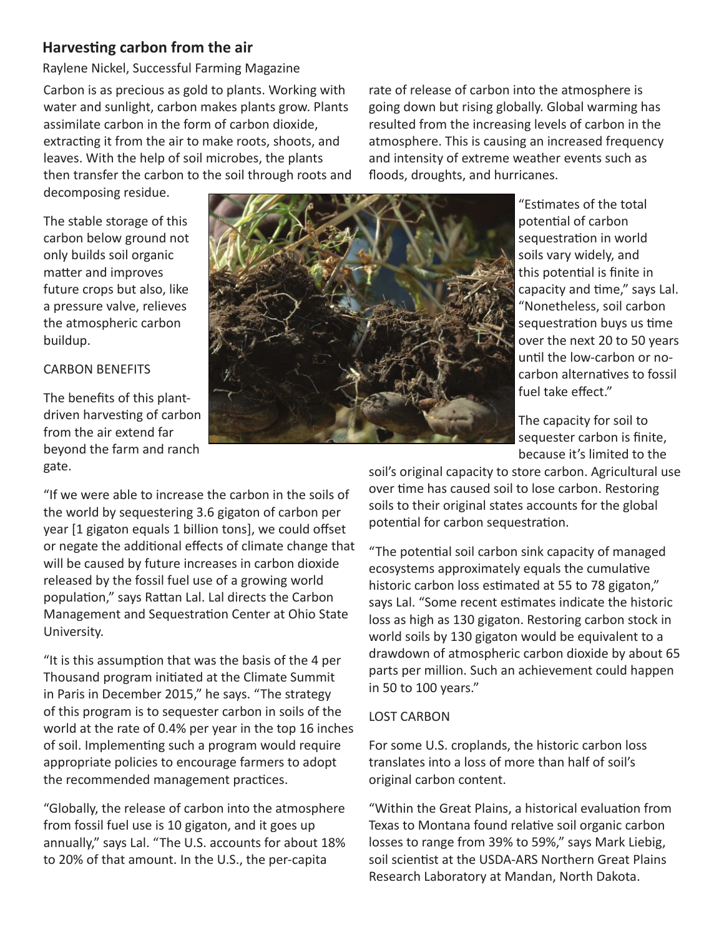# **Harvesting carbon from the air**

Raylene Nickel, Successful Farming Magazine

Carbon is as precious as gold to plants. Working with water and sunlight, carbon makes plants grow. Plants assimilate carbon in the form of carbon dioxide, extracting it from the air to make roots, shoots, and leaves. With the help of soil microbes, the plants then transfer the carbon to the soil through roots and

decomposing residue.

The stable storage of this carbon below ground not only builds soil organic matter and improves future crops but also, like a pressure valve, relieves the atmospheric carbon buildup.

## CARBON BENEFITS

The benefits of this plantdriven harvesting of carbon from the air extend far beyond the farm and ranch gate.



rate of release of carbon into the atmosphere is going down but rising globally. Global warming has resulted from the increasing levels of carbon in the atmosphere. This is causing an increased frequency and intensity of extreme weather events such as floods, droughts, and hurricanes.

> "Estimates of the total potential of carbon sequestration in world soils vary widely, and this potential is finite in capacity and time," says Lal. "Nonetheless, soil carbon sequestration buys us time over the next 20 to 50 years until the low-carbon or nocarbon alternatives to fossil fuel take effect."

The capacity for soil to sequester carbon is finite, because it's limited to the

"If we were able to increase the carbon in the soils of the world by sequestering 3.6 gigaton of carbon per year [1 gigaton equals 1 billion tons], we could offset or negate the additional effects of climate change that will be caused by future increases in carbon dioxide released by the fossil fuel use of a growing world population," says Rattan Lal. Lal directs the Carbon Management and Sequestration Center at Ohio State University.

"It is this assumption that was the basis of the 4 per Thousand program initiated at the Climate Summit in Paris in December 2015," he says. "The strategy of this program is to sequester carbon in soils of the world at the rate of 0.4% per year in the top 16 inches of soil. Implementing such a program would require appropriate policies to encourage farmers to adopt the recommended management practices.

"Globally, the release of carbon into the atmosphere from fossil fuel use is 10 gigaton, and it goes up annually," says Lal. "The U.S. accounts for about 18% to 20% of that amount. In the U.S., the per-capita

soil's original capacity to store carbon. Agricultural use over time has caused soil to lose carbon. Restoring soils to their original states accounts for the global potential for carbon sequestration.

"The potential soil carbon sink capacity of managed ecosystems approximately equals the cumulative historic carbon loss estimated at 55 to 78 gigaton," says Lal. "Some recent estimates indicate the historic loss as high as 130 gigaton. Restoring carbon stock in world soils by 130 gigaton would be equivalent to a drawdown of atmospheric carbon dioxide by about 65 parts per million. Such an achievement could happen in 50 to 100 years."

## LOST CARBON

For some U.S. croplands, the historic carbon loss translates into a loss of more than half of soil's original carbon content.

"Within the Great Plains, a historical evaluation from Texas to Montana found relative soil organic carbon losses to range from 39% to 59%," says Mark Liebig, soil scientist at the USDA-ARS Northern Great Plains Research Laboratory at Mandan, North Dakota.